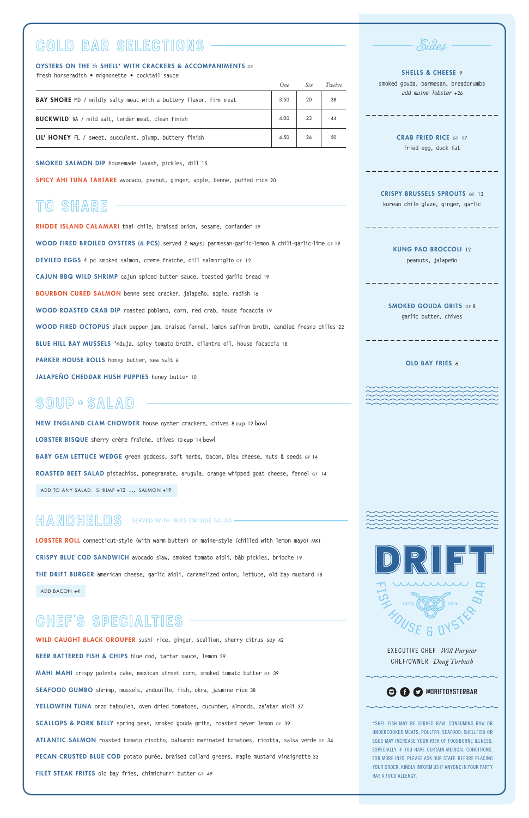

EXECUTIVE CHEF *Will Puryear*  CHEF/OWNER *Doug Turbush*

#### **<sup>O</sup>O** O **@DRIFTOYSTERBAR**

#### SHELLS & CHEESE 9 **smoked gouda, parmesan, breadcrumbs**

\*SHELLFISH MAY BE SERVED RAW. CONSUMING RAW OR UNDERCOOKED MEATS, POULTRY, SEAFOOD, SHELLFISH OR EGGS MAY INCREASE YOUR RISK OF FOODBORNE ILLNESS, ESPECIALLY IF YOU HAVE CERTAIN MEDICAL CONDITIONS. FOR MORE INFO, PLEASE ASK OUR STAFF. BEFORE PLACING YOUR ORDER, KINDLY INFORM US IF ANYONE IN YOUR PARTY HAS A FOOD ALLERGY.

SMOKED GOUDA GRITS GF 8 **garlic butter, chives**

#### OLD BAY FRIES 6



*add maine lobster* +26

CRAB FRIED RICE GF 17 **fried egg, duck fat**

CRISPY BRUSSELS SPROUTS GF 13 **korean chile glaze, ginger, garlic**

KUNG PAO BROCCOLI 12

**peanuts, jalapeño**

LOBSTER ROLL **connecticut-style (with warm butter) or maine-style (chilled with lemon mayo)** MKT CRISPY BLUE COD SANDWICH **avocado slaw, smoked tomato aioli, b&b pickles, brioche** 19 THE DRIFT BURGER **american cheese, garlic aioli, caramelized onion, lettuce, old bay mustard** 18

ADD BACON +4

RHODE ISLAND CALAMARI **thai chile, braised onion, sesame, coriander** 19 WOOD FIRED BROILED OYSTERS (6 PCS) **served 2 ways: parmesan-garlic-lemon & chili-garlic-lime** GF 19 DEVILED EGGS **4 pc smoked salmon, creme fraiche, dill salmoriglio** GF 12 CAJUN BBQ WILD SHRIMP **cajun spiced butter sauce, toasted garlic bread** 19 BOURBON CURED SALMON **benne seed cracker, jalapeño, apple, radish** 16 WOOD ROASTED CRAB DIP **roasted poblano, corn, red crab, house focaccia** 19 WOOD FIRED OCTOPUS **black pepper jam, braised fennel, lemon saffron broth, candied fresno chiles** 22 BLUE HILL BAY MUSSELS **'nduja, spicy tomato broth, cilantro oil, house focaccia** 18 PARKER HOUSE ROLLS **honey butter, sea salt** 6 JALAPEÑO CHEDDAR HUSH PUPPIES **honey butter** 10

WILD CAUGHT BLACK GROUPER **sushi rice, ginger, scallion, sherry citrus soy** 42

BEER BATTERED FISH & CHIPS **blue cod, tartar sauce, lemon** 29

MAHI MAHI **crispy polenta cake, mexican street corn, smoked tomato butter** GF 39

SEAFOOD GUMBO **shrimp, mussels, andouille, fish, okra, jasmine rice** 38

YELLOWFIN TUNA **orzo tabouleh, oven dried tomatoes, cucumber, almonds, za'atar aioli** 37

SCALLOPS & PORK BELLY **spring peas, smoked gouda grits, roasted meyer lemon** GF 39

ATLANTIC SALMON **roasted tomato risotto, balsamic marinated tomatoes, ricotta, salsa verde** GF 34

PECAN CRUSTED BLUE COD **potato purée, braised collard greens, maple mustard vinaigrette** 33

FILET STEAK FRITES **old bay fries, chimichurri butter** GF 49



## CHEF'S SPECIALTIES

# TO SHARE

# SOUP + SALAD

NEW ENGLAND CLAM CHOWDER **house oyster crackers, chives** 8 cup 12 bowl LOBSTER BISQUE **sherry crème fraîche, chives** 10 cup 14 bowl BABY GEM LETTUCE WEDGE **green goddess, soft herbs, bacon, bleu cheese, nuts & seeds** GF 14 ROASTED BEET SALAD **pistachios, pomegranate, arugula, orange whipped goat cheese, fennel** GF 14 ADD TO ANY SALAD: SHRIMP +12 **...** SALMON +19

## HANDHELDS SERVED WITH FRIES OR SIDE SALAD -

#### SMOKED SALMON DIP **housemade lavash, pickles, dill** 15

SPICY AHI TUNA TARTARE **avocado, peanut, ginger, apple, benne, puffed rice** 20

#### OYSTERS ON THE ½ SHELL\* WITH CRACKERS & ACCOMPANIMENTS GF

**fresh horseradish** • **mignonette** • **cocktail sauce**

# COLD BAR SELECTIONS

|                                                                          | ()ne | Six | 'I welve |
|--------------------------------------------------------------------------|------|-----|----------|
| <b>BAY SHORE</b> MD / mildly salty meat with a buttery flavor, firm meat | 3.50 | 20  | 38       |
| <b>BUCKWILD</b> VA / mild salt, tender meat, clean finish                | 4.00 | 23  | 44       |
| LIL' HONEY FL / sweet, succulent, plump, buttery finish                  | 4.50 | 26  | 50       |